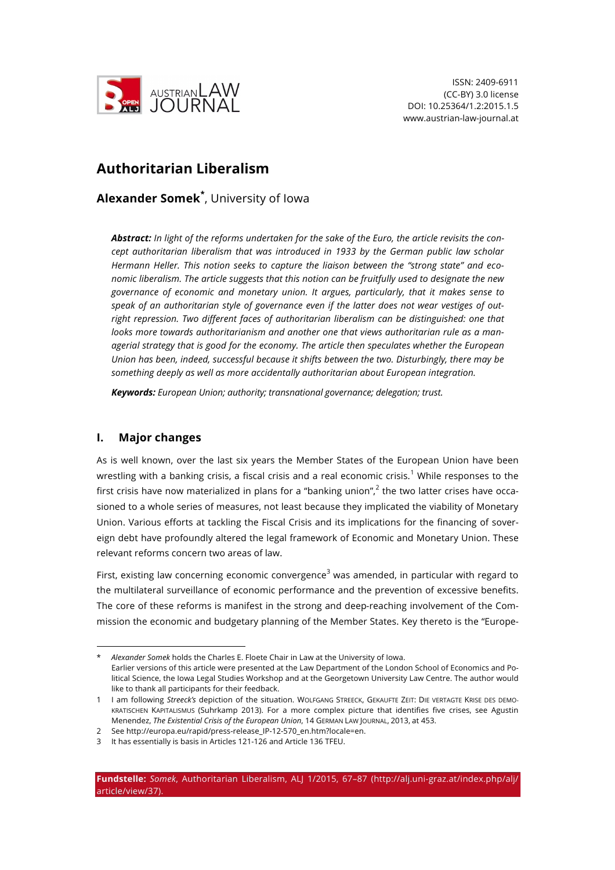

# **Authoritarian Liberalism**

**Alexander Somek\*** , University of Iowa

*Abstract: In light of the reforms undertaken for the sake of the Euro, the article revisits the concept authoritarian liberalism that was introduced in 1933 by the German public law scholar Hermann Heller. This notion seeks to capture the liaison between the "strong state" and economic liberalism. The article suggests that this notion can be fruitfully used to designate the new governance of economic and monetary union. It argues, particularly, that it makes sense to speak of an authoritarian style of governance even if the latter does not wear vestiges of outright repression. Two different faces of authoritarian liberalism can be distinguished: one that looks more towards authoritarianism and another one that views authoritarian rule as a managerial strategy that is good for the economy. The article then speculates whether the European Union has been, indeed, successful because it shifts between the two. Disturbingly, there may be something deeply as well as more accidentally authoritarian about European integration.*

*Keywords: European Union; authority; transnational governance; delegation; trust.* 

## **I. Major changes**

As is well known, over the last six years the Member States of the European Union have been wrestling with a banking crisis, a fiscal crisis and a real economic crisis.<sup>1</sup> While responses to the first crisis have now materialized in plans for a "banking union",<sup>2</sup> the two latter crises have occasioned to a whole series of measures, not least because they implicated the viability of Monetary Union. Various efforts at tackling the Fiscal Crisis and its implications for the financing of sovereign debt have profoundly altered the legal framework of Economic and Monetary Union. These relevant reforms concern two areas of law.

First, existing law concerning economic convergence<sup>3</sup> was amended, in particular with regard to the multilateral surveillance of economic performance and the prevention of excessive benefits. The core of these reforms is manifest in the strong and deep-reaching involvement of the Commission the economic and budgetary planning of the Member States. Key thereto is the "Europe-

Alexander Somek holds the Charles E. Floete Chair in Law at the University of Iowa. Earlier versions of this article were presented at the Law Department of the London School of Economics and Political Science, the Iowa Legal Studies Workshop and at the Georgetown University Law Centre. The author would like to thank all participants for their feedback.

<sup>1</sup> I am following *Streeck's* depiction of the situation. WOLFGANG STREECK, GEKAUFTE ZEIT: DIE VERTAGTE KRISE DES DEMO-KRATISCHEN KAPITALISMUS (Suhrkamp 2013). For a more complex picture that identifies five crises, see Agustin Menendez, *The Existential Crisis of the European Union*, 14 GERMAN LAW JOURNAL, 2013, at 453.

<sup>2</sup> See http://europa.eu/rapid/press-release\_IP-12-570\_en.htm?locale=en.

<sup>3</sup> It has essentially is basis in Articles 121-126 and Article 136 TFEU.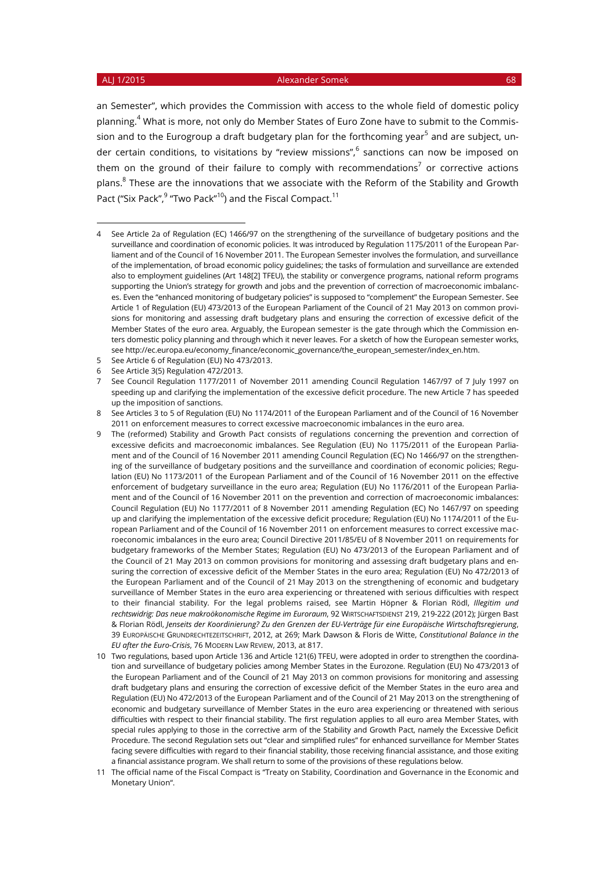### ALJ 1/2015 **Alexander Somek 68**

an Semester", which provides the Commission with access to the whole field of domestic policy planning.4 What is more, not only do Member States of Euro Zone have to submit to the Commission and to the Eurogroup a draft budgetary plan for the forthcoming year<sup>5</sup> and are subject, under certain conditions, to visitations by "review missions", $6$  sanctions can now be imposed on them on the ground of their failure to comply with recommendations<sup>7</sup> or corrective actions plans.<sup>8</sup> These are the innovations that we associate with the Reform of the Stability and Growth Pact ("Six Pack",<sup>9</sup> "Two Pack"<sup>10</sup>) and the Fiscal Compact.<sup>11</sup>

<sup>4</sup> See Article 2a of Regulation (EC) 1466/97 on the strengthening of the surveillance of budgetary positions and the surveillance and coordination of economic policies. It was introduced by Regulation 1175/2011 of the European Parliament and of the Council of 16 November 2011. The European Semester involves the formulation, and surveillance of the implementation, of broad economic policy guidelines; the tasks of formulation and surveillance are extended also to employment guidelines (Art 148[2] TFEU), the stability or convergence programs, national reform programs supporting the Union's strategy for growth and jobs and the prevention of correction of macroeconomic imbalances. Even the "enhanced monitoring of budgetary policies" is supposed to "complement" the European Semester. See Article 1 of Regulation (EU) 473/2013 of the European Parliament of the Council of 21 May 2013 on common provisions for monitoring and assessing draft budgetary plans and ensuring the correction of excessive deficit of the Member States of the euro area. Arguably, the European semester is the gate through which the Commission enters domestic policy planning and through which it never leaves. For a sketch of how the European semester works, see http://ec.europa.eu/economy\_finance/economic\_governance/the\_european\_semester/index\_en.htm.

<sup>5</sup> See Article 6 of Regulation (EU) No 473/2013.

<sup>6</sup> See Article 3(5) Regulation 472/2013.

<sup>7</sup> See Council Regulation 1177/2011 of November 2011 amending Council Regulation 1467/97 of 7 July 1997 on speeding up and clarifying the implementation of the excessive deficit procedure. The new Article 7 has speeded up the imposition of sanctions.

<sup>8</sup> See Articles 3 to 5 of Regulation (EU) No 1174/2011 of the European Parliament and of the Council of 16 November 2011 on enforcement measures to correct excessive macroeconomic imbalances in the euro area.

<sup>9</sup> The (reformed) Stability and Growth Pact consists of regulations concerning the prevention and correction of excessive deficits and macroeconomic imbalances. See Regulation (EU) No 1175/2011 of the European Parliament and of the Council of 16 November 2011 amending Council Regulation (EC) No 1466/97 on the strengthening of the surveillance of budgetary positions and the surveillance and coordination of economic policies; Regulation (EU) No 1173/2011 of the European Parliament and of the Council of 16 November 2011 on the effective enforcement of budgetary surveillance in the euro area; Regulation (EU) No 1176/2011 of the European Parliament and of the Council of 16 November 2011 on the prevention and correction of macroeconomic imbalances: Council Regulation (EU) No 1177/2011 of 8 November 2011 amending Regulation (EC) No 1467/97 on speeding up and clarifying the implementation of the excessive deficit procedure; Regulation (EU) No 1174/2011 of the European Parliament and of the Council of 16 November 2011 on enforcement measures to correct excessive macroeconomic imbalances in the euro area; Council Directive 2011/85/EU of 8 November 2011 on requirements for budgetary frameworks of the Member States; Regulation (EU) No 473/2013 of the European Parliament and of the Council of 21 May 2013 on common provisions for monitoring and assessing draft budgetary plans and ensuring the correction of excessive deficit of the Member States in the euro area; Regulation (EU) No 472/2013 of the European Parliament and of the Council of 21 May 2013 on the strengthening of economic and budgetary surveillance of Member States in the euro area experiencing or threatened with serious difficulties with respect to their financial stability. For the legal problems raised, see Martin Höpner & Florian Rödl, *Illegitim und rechtswidrig: Das neue makroökonomische Regime im Euroraum*, 92 WIRTSCHAFTSDIENST 219, 219-222 (2012); Jürgen Bast & Florian Rödl, *Jenseits der Koordinierung? Zu den Grenzen der EU-Verträge für eine Europäische Wirtschaftsregierung*, 39 EUROPÄISCHE GRUNDRECHTEZEITSCHRIFT, 2012, at 269; Mark Dawson & Floris de Witte, *Constitutional Balance in the EU after the Euro-Crisis*, 76 MODERN LAW REVIEW, 2013, at 817.

<sup>10</sup> Two regulations, based upon Article 136 and Article 121(6) TFEU, were adopted in order to strengthen the coordination and surveillance of budgetary policies among Member States in the Eurozone. Regulation (EU) No 473/2013 of the European Parliament and of the Council of 21 May 2013 on common provisions for monitoring and assessing draft budgetary plans and ensuring the correction of excessive deficit of the Member States in the euro area and Regulation (EU) No 472/2013 of the European Parliament and of the Council of 21 May 2013 on the strengthening of economic and budgetary surveillance of Member States in the euro area experiencing or threatened with serious difficulties with respect to their financial stability. The first regulation applies to all euro area Member States, with special rules applying to those in the corrective arm of the Stability and Growth Pact, namely the Excessive Deficit Procedure. The second Regulation sets out "clear and simplified rules" for enhanced surveillance for Member States facing severe difficulties with regard to their financial stability, those receiving financial assistance, and those exiting a financial assistance program. We shall return to some of the provisions of these regulations below.

<sup>11</sup> The official name of the Fiscal Compact is "Treaty on Stability, Coordination and Governance in the Economic and Monetary Union".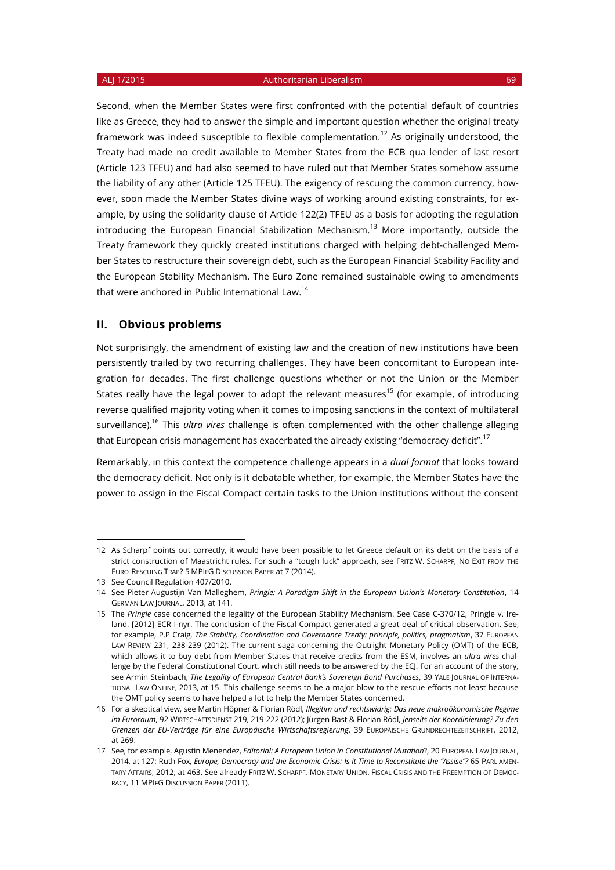Second, when the Member States were first confronted with the potential default of countries like as Greece, they had to answer the simple and important question whether the original treaty framework was indeed susceptible to flexible complementation.<sup>12</sup> As originally understood, the Treaty had made no credit available to Member States from the ECB qua lender of last resort (Article 123 TFEU) and had also seemed to have ruled out that Member States somehow assume the liability of any other (Article 125 TFEU). The exigency of rescuing the common currency, however, soon made the Member States divine ways of working around existing constraints, for example, by using the solidarity clause of Article 122(2) TFEU as a basis for adopting the regulation introducing the European Financial Stabilization Mechanism.<sup>13</sup> More importantly, outside the Treaty framework they quickly created institutions charged with helping debt-challenged Member States to restructure their sovereign debt, such as the European Financial Stability Facility and the European Stability Mechanism. The Euro Zone remained sustainable owing to amendments that were anchored in Public International Law.<sup>14</sup>

## **II. Obvious problems**

Not surprisingly, the amendment of existing law and the creation of new institutions have been persistently trailed by two recurring challenges. They have been concomitant to European integration for decades. The first challenge questions whether or not the Union or the Member States really have the legal power to adopt the relevant measures<sup>15</sup> (for example, of introducing reverse qualified majority voting when it comes to imposing sanctions in the context of multilateral surveillance).16 This *ultra vires* challenge is often complemented with the other challenge alleging that European crisis management has exacerbated the already existing "democracy deficit".<sup>17</sup>

Remarkably, in this context the competence challenge appears in a *dual format* that looks toward the democracy deficit. Not only is it debatable whether, for example, the Member States have the power to assign in the Fiscal Compact certain tasks to the Union institutions without the consent

<sup>12</sup> As Scharpf points out correctly, it would have been possible to let Greece default on its debt on the basis of a strict construction of Maastricht rules. For such a "tough luck" approach, see FRITZ W. SCHARPF, NO EXIT FROM THE EURO-RESCUING TRAP? 5 MPIFG DISCUSSION PAPER at 7 (2014).

<sup>13</sup> See Council Regulation 407/2010.

<sup>14</sup> See Pieter-Augustijn Van Malleghem, *Pringle: A Paradigm Shift in the European Union's Monetary Constitution*, 14 GERMAN LAW JOURNAL, 2013, at 141.

<sup>15</sup> The *Pringle* case concerned the legality of the European Stability Mechanism. See Case C-370/12, Pringle v. Ireland, [2012] ECR I-nyr. The conclusion of the Fiscal Compact generated a great deal of critical observation. See, for example, P.P Craig, *The Stability, Coordination and Governance Treaty: principle, politics, pragmatism*, 37 EUROPEAN LAW REVIEW 231, 238-239 (2012). The current saga concerning the Outright Monetary Policy (OMT) of the ECB, which allows it to buy debt from Member States that receive credits from the ESM, involves an *ultra vires* challenge by the Federal Constitutional Court, which still needs to be answered by the ECJ. For an account of the story, see Armin Steinbach, *The Legality of European Central Bank's Sovereign Bond Purchases*, 39 YALE JOURNAL OF INTERNA-TIONAL LAW ONLINE, 2013, at 15. This challenge seems to be a major blow to the rescue efforts not least because the OMT policy seems to have helped a lot to help the Member States concerned.

<sup>16</sup> For a skeptical view, see Martin Höpner & Florian Rödl, *Illegitim und rechtswidrig: Das neue makroökonomische Regime im Euroraum*, 92 WIRTSCHAFTSDIENST 219, 219-222 (2012); Jürgen Bast & Florian Rödl, *Jenseits der Koordinierung? Zu den Grenzen der EU-Verträge für eine Europäische Wirtschaftsregierung*, 39 EUROPÄISCHE GRUNDRECHTEZEITSCHRIFT, 2012, at 269.

<sup>17</sup> See, for example, Agustin Menendez, *Editorial: A European Union in Constitutional Mutation*?, 20 EUROPEAN LAW JOURNAL, 2014, at 127; Ruth Fox, *Europe, Democracy and the Economic Crisis: Is It Time to Reconstitute the "Assise"?* 65 PARLIAMEN-TARY AFFAIRS, 2012, at 463. See already FRITZ W. SCHARPF, MONETARY UNION, FISCAL CRISIS AND THE PREEMPTION OF DEMOC-RACY, 11 MPIFG DISCUSSION PAPER (2011).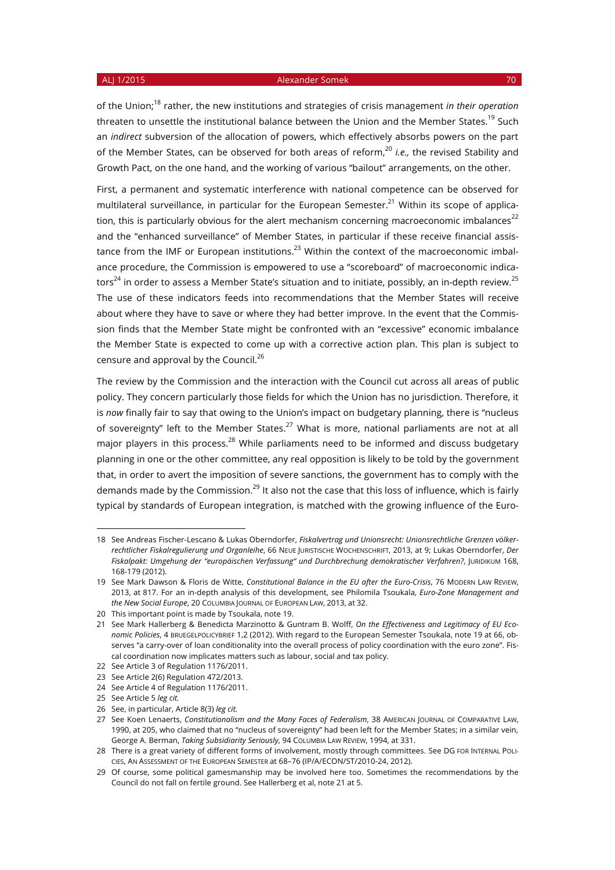of the Union;18 rather, the new institutions and strategies of crisis management *in their operation* threaten to unsettle the institutional balance between the Union and the Member States.<sup>19</sup> Such an *indirect* subversion of the allocation of powers, which effectively absorbs powers on the part of the Member States, can be observed for both areas of reform,<sup>20</sup> *i.e.*, the revised Stability and Growth Pact, on the one hand, and the working of various "bailout" arrangements, on the other.

First, a permanent and systematic interference with national competence can be observed for multilateral surveillance, in particular for the European Semester.<sup>21</sup> Within its scope of application, this is particularly obvious for the alert mechanism concerning macroeconomic imbalances<sup>22</sup> and the "enhanced surveillance" of Member States, in particular if these receive financial assistance from the IMF or European institutions. $^{23}$  Within the context of the macroeconomic imbalance procedure, the Commission is empowered to use a "scoreboard" of macroeconomic indica- $\text{tors}^{24}$  in order to assess a Member State's situation and to initiate, possibly, an in-depth review.<sup>25</sup> The use of these indicators feeds into recommendations that the Member States will receive about where they have to save or where they had better improve. In the event that the Commission finds that the Member State might be confronted with an "excessive" economic imbalance the Member State is expected to come up with a corrective action plan. This plan is subject to censure and approval by the Council.<sup>26</sup>

The review by the Commission and the interaction with the Council cut across all areas of public policy. They concern particularly those fields for which the Union has no jurisdiction. Therefore, it is *now* finally fair to say that owing to the Union's impact on budgetary planning, there is "nucleus of sovereignty" left to the Member States.<sup>27</sup> What is more, national parliaments are not at all major players in this process.<sup>28</sup> While parliaments need to be informed and discuss budgetary planning in one or the other committee, any real opposition is likely to be told by the government that, in order to avert the imposition of severe sanctions, the government has to comply with the demands made by the Commission.<sup>29</sup> It also not the case that this loss of influence, which is fairly typical by standards of European integration, is matched with the growing influence of the Euro-

<sup>18</sup> See Andreas Fischer-Lescano & Lukas Oberndorfer, *Fiskalvertrag und Unionsrecht: Unionsrechtliche Grenzen völkerrechtlicher Fiskalregulierung und Organleihe*, 66 NEUE JURISTISCHE WOCHENSCHRIFT, 2013, at 9; Lukas Oberndorfer, *Der Fiskalpakt: Umgehung der "europäischen Verfassung" und Durchbrechung demokratischer Verfahren?*, JURIDIKUM 168, 168-179 (2012).

<sup>19</sup> See Mark Dawson & Floris de Witte, *Constitutional Balance in the EU after the Euro-Crisis*, 76 MODERN LAW REVIEW, 2013, at 817. For an in-depth analysis of this development, see Philomila Tsoukala, *Euro-Zone Management and the New Social Europe*, 20 COLUMBIA JOURNAL OF EUROPEAN LAW, 2013, at 32.

<sup>20</sup> This important point is made by Tsoukala, note 19.

<sup>21</sup> See Mark Hallerberg & Benedicta Marzinotto & Guntram B. Wolff, *On the Effectiveness and Legitimacy of EU Economic Policies*, 4 BRUEGELPOLICYBRIEF 1,2 (2012). With regard to the European Semester Tsoukala, note 19 at 66, observes "a carry-over of loan conditionality into the overall process of policy coordination with the euro zone". Fiscal coordination now implicates matters such as labour, social and tax policy.

<sup>22</sup> See Article 3 of Regulation 1176/2011.

<sup>23</sup> See Article 2(6) Regulation 472/2013.

<sup>24</sup> See Article 4 of Regulation 1176/2011.

<sup>25</sup> See Article 5 *leg cit.*

<sup>26</sup> See, in particular, Article 8(3) *leg cit.*

<sup>27</sup> See Koen Lenaerts, *Constitutionalism and the Many Faces of Federalism*, 38 AMERICAN JOURNAL OF COMPARATIVE LAW, 1990, at 205, who claimed that no "nucleus of sovereignty" had been left for the Member States; in a similar vein, George A. Berman, *Taking Subsidiarity Seriously*, 94 COLUMBIA LAW REVIEW, 1994, at 331.

<sup>28</sup> There is a great variety of different forms of involvement, mostly through committees. See DG FOR INTERNAL POLI-CIES, AN ASSESSMENT OF THE EUROPEAN SEMESTER at 68–76 (IP/A/ECON/ST/2010-24, 2012).

<sup>29</sup> Of course, some political gamesmanship may be involved here too. Sometimes the recommendations by the Council do not fall on fertile ground. See Hallerberg et al, note 21 at 5.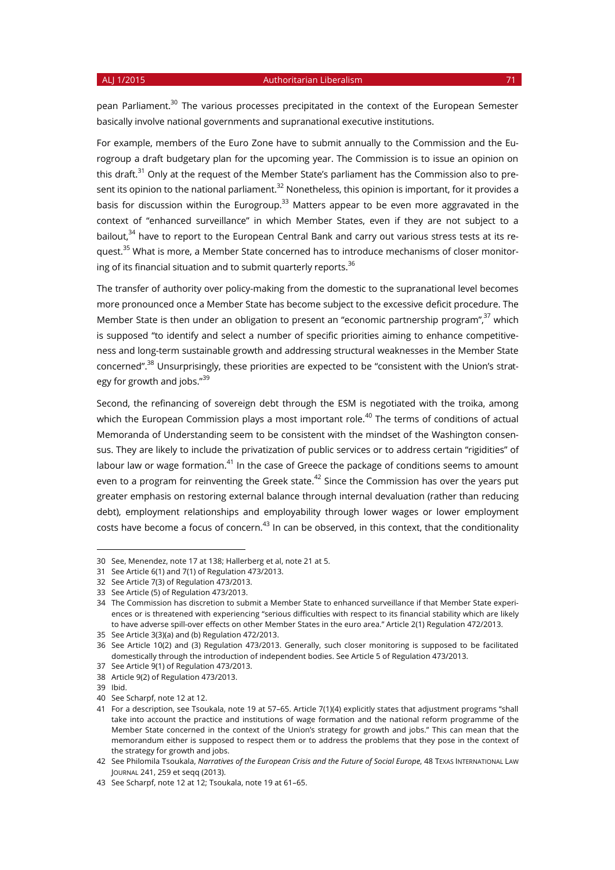pean Parliament.<sup>30</sup> The various processes precipitated in the context of the European Semester basically involve national governments and supranational executive institutions.

For example, members of the Euro Zone have to submit annually to the Commission and the Eurogroup a draft budgetary plan for the upcoming year. The Commission is to issue an opinion on this draft.<sup>31</sup> Only at the request of the Member State's parliament has the Commission also to present its opinion to the national parliament.<sup>32</sup> Nonetheless, this opinion is important, for it provides a basis for discussion within the Eurogroup.<sup>33</sup> Matters appear to be even more aggravated in the context of "enhanced surveillance" in which Member States, even if they are not subject to a bailout,<sup>34</sup> have to report to the European Central Bank and carry out various stress tests at its request.<sup>35</sup> What is more, a Member State concerned has to introduce mechanisms of closer monitoring of its financial situation and to submit quarterly reports. $36$ 

The transfer of authority over policy-making from the domestic to the supranational level becomes more pronounced once a Member State has become subject to the excessive deficit procedure. The Member State is then under an obligation to present an "economic partnership program",<sup>37</sup> which is supposed "to identify and select a number of specific priorities aiming to enhance competitiveness and long-term sustainable growth and addressing structural weaknesses in the Member State concerned".<sup>38</sup> Unsurprisingly, these priorities are expected to be "consistent with the Union's strategy for growth and jobs."<sup>39</sup>

Second, the refinancing of sovereign debt through the ESM is negotiated with the troika, among which the European Commission plays a most important role. $40$  The terms of conditions of actual Memoranda of Understanding seem to be consistent with the mindset of the Washington consensus. They are likely to include the privatization of public services or to address certain "rigidities" of labour law or wage formation. $41$  In the case of Greece the package of conditions seems to amount even to a program for reinventing the Greek state.<sup>42</sup> Since the Commission has over the years put greater emphasis on restoring external balance through internal devaluation (rather than reducing debt), employment relationships and employability through lower wages or lower employment costs have become a focus of concern.<sup>43</sup> In can be observed, in this context, that the conditionality

<sup>30</sup> See, Menendez, note 17 at 138; Hallerberg et al, note 21 at 5.

<sup>31</sup> See Article 6(1) and 7(1) of Regulation 473/2013.

<sup>32</sup> See Article 7(3) of Regulation 473/2013.

<sup>33</sup> See Article (5) of Regulation 473/2013.

<sup>34</sup> The Commission has discretion to submit a Member State to enhanced surveillance if that Member State experiences or is threatened with experiencing "serious difficulties with respect to its financial stability which are likely to have adverse spill-over effects on other Member States in the euro area." Article 2(1) Regulation 472/2013.

<sup>35</sup> See Article 3(3)(a) and (b) Regulation 472/2013.

<sup>36</sup> See Article 10(2) and (3) Regulation 473/2013. Generally, such closer monitoring is supposed to be facilitated domestically through the introduction of independent bodies. See Article 5 of Regulation 473/2013.

<sup>37</sup> See Article 9(1) of Regulation 473/2013.

<sup>38</sup> Article 9(2) of Regulation 473/2013.

<sup>39</sup> Ibid.

<sup>40</sup> See Scharpf, note 12 at 12.

<sup>41</sup> For a description, see Tsoukala, note 19 at 57–65. Article 7(1)(4) explicitly states that adjustment programs "shall take into account the practice and institutions of wage formation and the national reform programme of the Member State concerned in the context of the Union's strategy for growth and jobs." This can mean that the memorandum either is supposed to respect them or to address the problems that they pose in the context of the strategy for growth and jobs.

<sup>42</sup> See Philomila Tsoukala, *Narratives of the European Crisis and the Future of Social Europe*, 48 TEXAS INTERNATIONAL LAW JOURNAL 241, 259 et seqq (2013).

<sup>43</sup> See Scharpf, note 12 at 12; Tsoukala, note 19 at 61–65.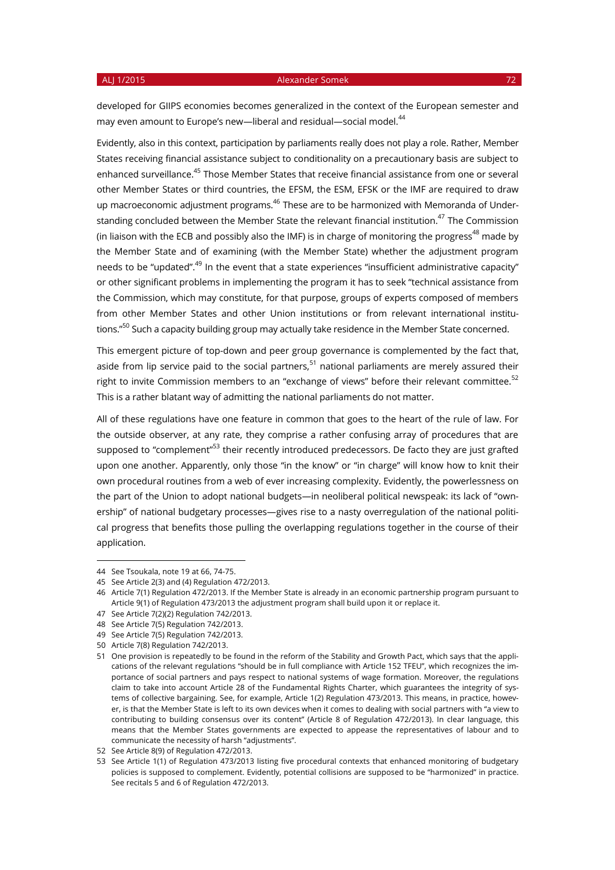developed for GIIPS economies becomes generalized in the context of the European semester and may even amount to Europe's new—liberal and residual—social model.<sup>44</sup>

Evidently, also in this context, participation by parliaments really does not play a role. Rather, Member States receiving financial assistance subject to conditionality on a precautionary basis are subject to enhanced surveillance.<sup>45</sup> Those Member States that receive financial assistance from one or several other Member States or third countries, the EFSM, the ESM, EFSK or the IMF are required to draw up macroeconomic adjustment programs.46 These are to be harmonized with Memoranda of Understanding concluded between the Member State the relevant financial institution.<sup>47</sup> The Commission (in liaison with the ECB and possibly also the IMF) is in charge of monitoring the progress<sup>48</sup> made by the Member State and of examining (with the Member State) whether the adjustment program needs to be "updated".<sup>49</sup> In the event that a state experiences "insufficient administrative capacity" or other significant problems in implementing the program it has to seek "technical assistance from the Commission, which may constitute, for that purpose, groups of experts composed of members from other Member States and other Union institutions or from relevant international institutions."<sup>50</sup> Such a capacity building group may actually take residence in the Member State concerned.

This emergent picture of top-down and peer group governance is complemented by the fact that, aside from lip service paid to the social partners,  $51$  national parliaments are merely assured their right to invite Commission members to an "exchange of views" before their relevant committee.<sup>52</sup> This is a rather blatant way of admitting the national parliaments do not matter.

All of these regulations have one feature in common that goes to the heart of the rule of law. For the outside observer, at any rate, they comprise a rather confusing array of procedures that are supposed to "complement"<sup>53</sup> their recently introduced predecessors. De facto they are just grafted upon one another. Apparently, only those "in the know" or "in charge" will know how to knit their own procedural routines from a web of ever increasing complexity. Evidently, the powerlessness on the part of the Union to adopt national budgets—in neoliberal political newspeak: its lack of "ownership" of national budgetary processes—gives rise to a nasty overregulation of the national political progress that benefits those pulling the overlapping regulations together in the course of their application.

<sup>44</sup> See Tsoukala, note 19 at 66, 74-75.

<sup>45</sup> See Article 2(3) and (4) Regulation 472/2013.

<sup>46</sup> Article 7(1) Regulation 472/2013. If the Member State is already in an economic partnership program pursuant to Article 9(1) of Regulation 473/2013 the adjustment program shall build upon it or replace it.

<sup>47</sup> See Article 7(2)(2) Regulation 742/2013.

<sup>48</sup> See Article 7(5) Regulation 742/2013.

<sup>49</sup> See Article 7(5) Regulation 742/2013.

<sup>50</sup> Article 7(8) Regulation 742/2013.

<sup>51</sup> One provision is repeatedly to be found in the reform of the Stability and Growth Pact, which says that the applications of the relevant regulations "should be in full compliance with Article 152 TFEU", which recognizes the importance of social partners and pays respect to national systems of wage formation. Moreover, the regulations claim to take into account Article 28 of the Fundamental Rights Charter, which guarantees the integrity of systems of collective bargaining. See, for example, Article 1(2) Regulation 473/2013. This means, in practice, however, is that the Member State is left to its own devices when it comes to dealing with social partners with "a view to contributing to building consensus over its content" (Article 8 of Regulation 472/2013). In clear language, this means that the Member States governments are expected to appease the representatives of labour and to communicate the necessity of harsh "adjustments".

<sup>52</sup> See Article 8(9) of Regulation 472/2013.

<sup>53</sup> See Article 1(1) of Regulation 473/2013 listing five procedural contexts that enhanced monitoring of budgetary policies is supposed to complement. Evidently, potential collisions are supposed to be "harmonized" in practice. See recitals 5 and 6 of Regulation 472/2013.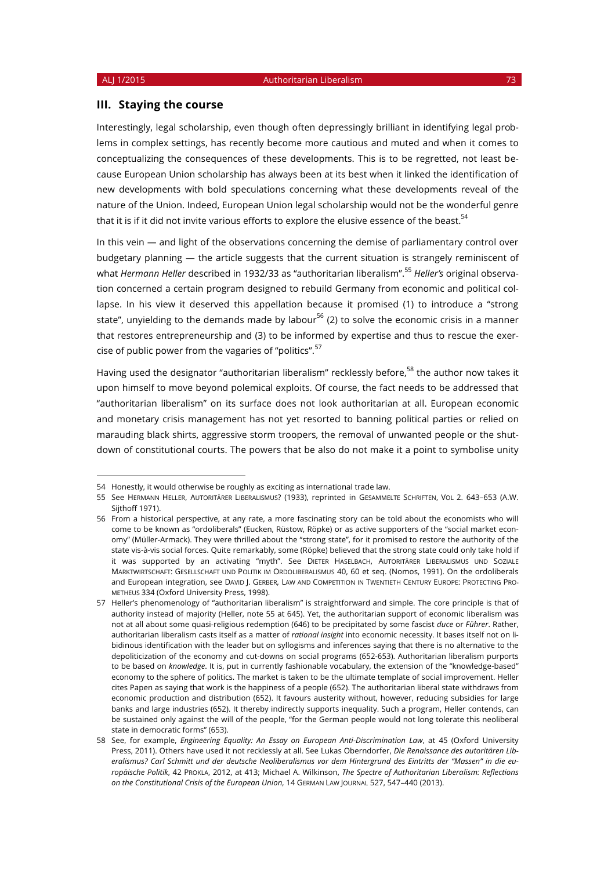## **III. Staying the course**

Interestingly, legal scholarship, even though often depressingly brilliant in identifying legal problems in complex settings, has recently become more cautious and muted and when it comes to conceptualizing the consequences of these developments. This is to be regretted, not least because European Union scholarship has always been at its best when it linked the identification of new developments with bold speculations concerning what these developments reveal of the nature of the Union. Indeed, European Union legal scholarship would not be the wonderful genre that it is if it did not invite various efforts to explore the elusive essence of the beast.<sup>54</sup>

In this vein — and light of the observations concerning the demise of parliamentary control over budgetary planning — the article suggests that the current situation is strangely reminiscent of what *Hermann Heller* described in 1932/33 as "authoritarian liberalism".<sup>55</sup> *Heller's* original observation concerned a certain program designed to rebuild Germany from economic and political collapse. In his view it deserved this appellation because it promised (1) to introduce a "strong state", unvielding to the demands made by labour<sup>56</sup> (2) to solve the economic crisis in a manner that restores entrepreneurship and (3) to be informed by expertise and thus to rescue the exercise of public power from the vagaries of "politics".<sup>57</sup>

Having used the designator "authoritarian liberalism" recklessly before,<sup>58</sup> the author now takes it upon himself to move beyond polemical exploits. Of course, the fact needs to be addressed that "authoritarian liberalism" on its surface does not look authoritarian at all. European economic and monetary crisis management has not yet resorted to banning political parties or relied on marauding black shirts, aggressive storm troopers, the removal of unwanted people or the shutdown of constitutional courts. The powers that be also do not make it a point to symbolise unity

<sup>54</sup> Honestly, it would otherwise be roughly as exciting as international trade law.

<sup>55</sup> See HERMANN HELLER, AUTORITÄRER LIBERALISMUS? (1933), reprinted in GESAMMELTE SCHRIFTEN, VOL 2. 643–653 (A.W. Siithoff 1971).

<sup>56</sup> From a historical perspective, at any rate, a more fascinating story can be told about the economists who will come to be known as "ordoliberals" (Eucken, Rüstow, Röpke) or as active supporters of the "social market economy" (Müller-Armack). They were thrilled about the "strong state", for it promised to restore the authority of the state vis-à-vis social forces. Quite remarkably, some (Röpke) believed that the strong state could only take hold if it was supported by an activating "myth". See DIETER HASELBACH, AUTORITÄRER LIBERALISMUS UND SOZIALE MARKTWIRTSCHAFT: GESELLSCHAFT UND POLITIK IM ORDOLIBERALISMUS 40, 60 et seq. (Nomos, 1991). On the ordoliberals and European integration, see DAVID J. GERBER, LAW AND COMPETITION IN TWENTIETH CENTURY EUROPE: PROTECTING PRO-METHEUS 334 (Oxford University Press, 1998).

<sup>57</sup> Heller's phenomenology of "authoritarian liberalism" is straightforward and simple. The core principle is that of authority instead of majority (Heller, note 55 at 645). Yet, the authoritarian support of economic liberalism was not at all about some quasi-religious redemption (646) to be precipitated by some fascist *duce* or *Führer*. Rather, authoritarian liberalism casts itself as a matter of *rational insight* into economic necessity. It bases itself not on libidinous identification with the leader but on syllogisms and inferences saying that there is no alternative to the depoliticization of the economy and cut-downs on social programs (652-653). Authoritarian liberalism purports to be based on *knowledge*. It is, put in currently fashionable vocabulary, the extension of the "knowledge-based" economy to the sphere of politics. The market is taken to be the ultimate template of social improvement. Heller cites Papen as saying that work is the happiness of a people (652). The authoritarian liberal state withdraws from economic production and distribution (652). It favours austerity without, however, reducing subsidies for large banks and large industries (652). It thereby indirectly supports inequality. Such a program, Heller contends, can be sustained only against the will of the people, "for the German people would not long tolerate this neoliberal state in democratic forms" (653).

<sup>58</sup> See, for example, *Engineering Equality: An Essay on European Anti-Discrimination Law*, at 45 (Oxford University Press, 2011). Others have used it not recklessly at all. See Lukas Oberndorfer, *Die Renaissance des autoritären Liberalismus? Carl Schmitt und der deutsche Neoliberalismus vor dem Hintergrund des Eintritts der "Massen" in die europäische Politik*, 42 PROKLA, 2012, at 413; Michael A. Wilkinson, *The Spectre of Authoritarian Liberalism: Reflections on the Constitutional Crisis of the European Union*, 14 GERMAN LAW JOURNAL 527, 547–440 (2013).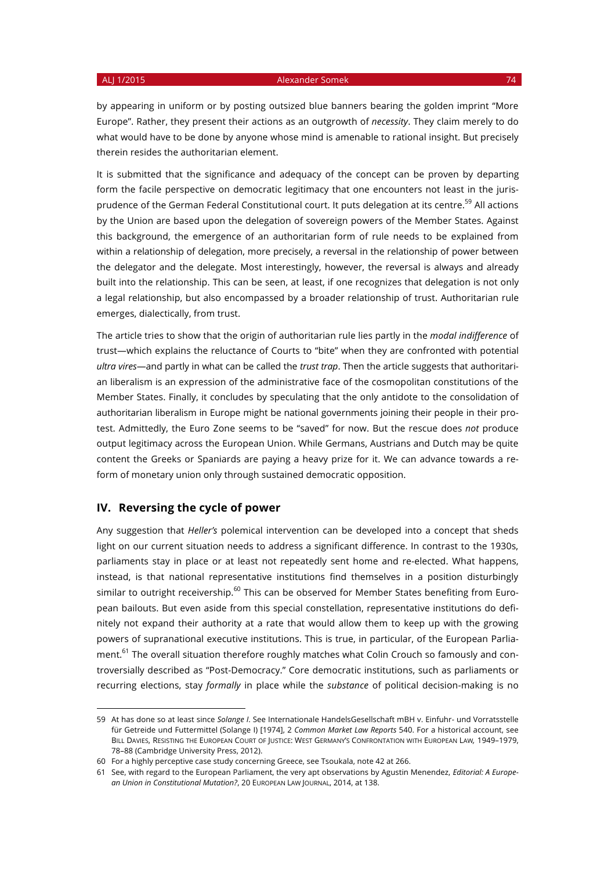by appearing in uniform or by posting outsized blue banners bearing the golden imprint "More Europe". Rather, they present their actions as an outgrowth of *necessity*. They claim merely to do what would have to be done by anyone whose mind is amenable to rational insight. But precisely therein resides the authoritarian element.

It is submitted that the significance and adequacy of the concept can be proven by departing form the facile perspective on democratic legitimacy that one encounters not least in the jurisprudence of the German Federal Constitutional court. It puts delegation at its centre.<sup>59</sup> All actions by the Union are based upon the delegation of sovereign powers of the Member States. Against this background, the emergence of an authoritarian form of rule needs to be explained from within a relationship of delegation, more precisely, a reversal in the relationship of power between the delegator and the delegate. Most interestingly, however, the reversal is always and already built into the relationship. This can be seen, at least, if one recognizes that delegation is not only a legal relationship, but also encompassed by a broader relationship of trust. Authoritarian rule emerges, dialectically, from trust.

The article tries to show that the origin of authoritarian rule lies partly in the *modal indifference* of trust—which explains the reluctance of Courts to "bite" when they are confronted with potential *ultra vires*—and partly in what can be called the *trust trap*. Then the article suggests that authoritarian liberalism is an expression of the administrative face of the cosmopolitan constitutions of the Member States. Finally, it concludes by speculating that the only antidote to the consolidation of authoritarian liberalism in Europe might be national governments joining their people in their protest. Admittedly, the Euro Zone seems to be "saved" for now. But the rescue does *not* produce output legitimacy across the European Union. While Germans, Austrians and Dutch may be quite content the Greeks or Spaniards are paying a heavy prize for it. We can advance towards a reform of monetary union only through sustained democratic opposition.

## **IV. Reversing the cycle of power**

 $\overline{a}$ 

Any suggestion that *Heller's* polemical intervention can be developed into a concept that sheds light on our current situation needs to address a significant difference. In contrast to the 1930s, parliaments stay in place or at least not repeatedly sent home and re-elected. What happens, instead, is that national representative institutions find themselves in a position disturbingly similar to outright receivership.<sup>60</sup> This can be observed for Member States benefiting from European bailouts. But even aside from this special constellation, representative institutions do definitely not expand their authority at a rate that would allow them to keep up with the growing powers of supranational executive institutions. This is true, in particular, of the European Parliament.<sup>61</sup> The overall situation therefore roughly matches what Colin Crouch so famously and controversially described as "Post-Democracy." Core democratic institutions, such as parliaments or recurring elections, stay *formally* in place while the *substance* of political decision-making is no

<sup>59</sup> At has done so at least since *Solange I*. See Internationale HandelsGesellschaft mBH v. Einfuhr- und Vorratsstelle für Getreide und Futtermittel (Solange I) [1974], 2 *Common Market Law Reports* 540. For a historical account, see BILL DAVIES, RESISTING THE EUROPEAN COURT OF JUSTICE: WEST GERMANY'S CONFRONTATION WITH EUROPEAN LAW*,* 1949–1979, 78–88 (Cambridge University Press, 2012).

<sup>60</sup> For a highly perceptive case study concerning Greece, see Tsoukala, note 42 at 266.

<sup>61</sup> See, with regard to the European Parliament, the very apt observations by Agustin Menendez, *Editorial: A European Union in Constitutional Mutation?*, 20 EUROPEAN LAW JOURNAL, 2014, at 138.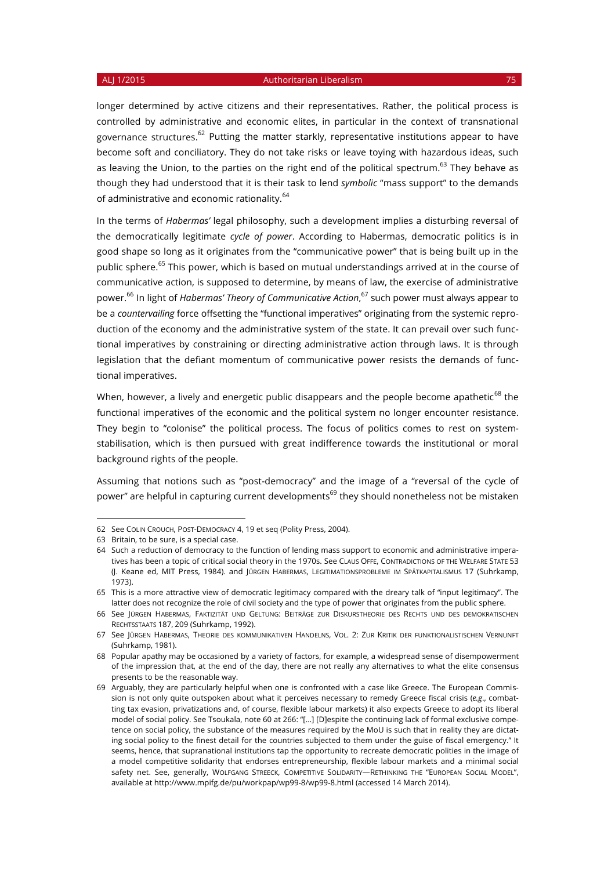longer determined by active citizens and their representatives. Rather, the political process is controlled by administrative and economic elites, in particular in the context of transnational governance structures.<sup>62</sup> Putting the matter starkly, representative institutions appear to have become soft and conciliatory. They do not take risks or leave toying with hazardous ideas, such as leaving the Union, to the parties on the right end of the political spectrum.<sup>63</sup> They behave as though they had understood that it is their task to lend *symbolic* "mass support" to the demands of administrative and economic rationality.<sup>64</sup>

In the terms of *Habermas'* legal philosophy, such a development implies a disturbing reversal of the democratically legitimate *cycle of power*. According to Habermas, democratic politics is in good shape so long as it originates from the "communicative power" that is being built up in the public sphere.<sup>65</sup> This power, which is based on mutual understandings arrived at in the course of communicative action, is supposed to determine, by means of law, the exercise of administrative power.<sup>66</sup> In light of *Habermas' Theory of Communicative Action*, <sup>67</sup> such power must always appear to be a *countervailing* force offsetting the "functional imperatives" originating from the systemic reproduction of the economy and the administrative system of the state. It can prevail over such functional imperatives by constraining or directing administrative action through laws. It is through legislation that the defiant momentum of communicative power resists the demands of functional imperatives.

When, however, a lively and energetic public disappears and the people become apathetic<sup>68</sup> the functional imperatives of the economic and the political system no longer encounter resistance. They begin to "colonise" the political process. The focus of politics comes to rest on systemstabilisation, which is then pursued with great indifference towards the institutional or moral background rights of the people.

Assuming that notions such as "post-democracy" and the image of a "reversal of the cycle of power" are helpful in capturing current developments<sup>69</sup> they should nonetheless not be mistaken

<sup>62</sup> See COLIN CROUCH, POST-DEMOCRACY 4, 19 et seq (Polity Press, 2004).

<sup>63</sup> Britain, to be sure, is a special case.

<sup>64</sup> Such a reduction of democracy to the function of lending mass support to economic and administrative imperatives has been a topic of critical social theory in the 1970s. See CLAUS OFFE, CONTRADICTIONS OF THE WELFARE STATE 53 (J. Keane ed, MIT Press, 1984). and JÜRGEN HABERMAS, LEGITIMATIONSPROBLEME IM SPÄTKAPITALISMUS 17 (Suhrkamp, 1973).

<sup>65</sup> This is a more attractive view of democratic legitimacy compared with the dreary talk of "input legitimacy". The latter does not recognize the role of civil society and the type of power that originates from the public sphere.

<sup>66</sup> See JÜRGEN HABERMAS, FAKTIZITÄT UND GELTUNG: BEITRÄGE ZUR DISKURSTHEORIE DES RECHTS UND DES DEMOKRATISCHEN RECHTSSTAATS 187, 209 (Suhrkamp, 1992).

<sup>67</sup> See JÜRGEN HABERMAS, THEORIE DES KOMMUNIKATIVEN HANDELNS, VOL. 2: ZUR KRITIK DER FUNKTIONALISTISCHEN VERNUNFT (Suhrkamp, 1981).

<sup>68</sup> Popular apathy may be occasioned by a variety of factors, for example, a widespread sense of disempowerment of the impression that, at the end of the day, there are not really any alternatives to what the elite consensus presents to be the reasonable way.

<sup>69</sup> Arguably, they are particularly helpful when one is confronted with a case like Greece. The European Commission is not only quite outspoken about what it perceives necessary to remedy Greece fiscal crisis (*e.g*., combatting tax evasion, privatizations and, of course, flexible labour markets) it also expects Greece to adopt its liberal model of social policy. See Tsoukala, note 60 at 266: "[…] [D]espite the continuing lack of formal exclusive competence on social policy, the substance of the measures required by the MoU is such that in reality they are dictating social policy to the finest detail for the countries subjected to them under the guise of fiscal emergency." It seems, hence, that supranational institutions tap the opportunity to recreate democratic polities in the image of a model competitive solidarity that endorses entrepreneurship, flexible labour markets and a minimal social safety net. See, generally, WOLFGANG STREECK, COMPETITIVE SOLIDARITY—RETHINKING THE "EUROPEAN SOCIAL MODEL", available at http://www.mpifg.de/pu/workpap/wp99-8/wp99-8.html (accessed 14 March 2014).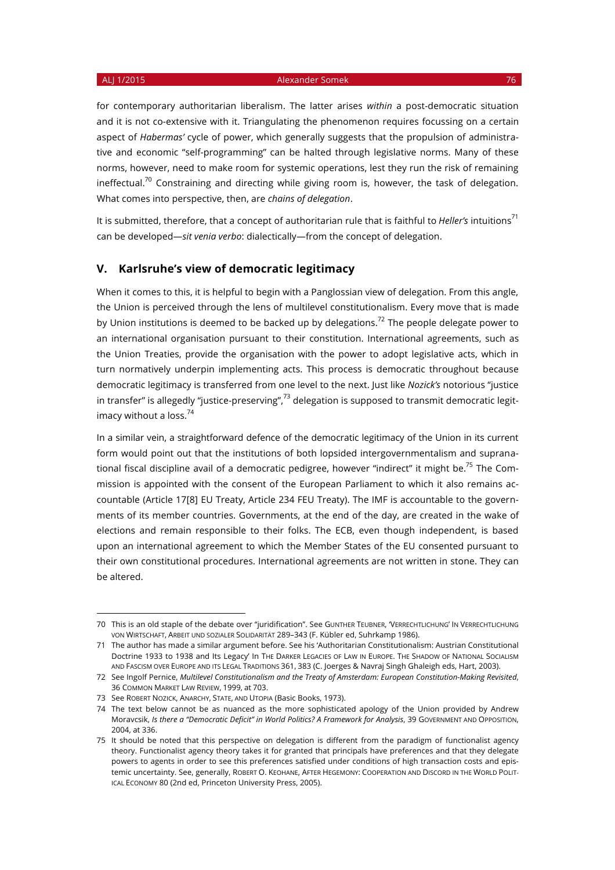### ALJ 1/2015 Alexander Somek 76

for contemporary authoritarian liberalism. The latter arises *within* a post-democratic situation and it is not co-extensive with it. Triangulating the phenomenon requires focussing on a certain aspect of *Habermas'* cycle of power, which generally suggests that the propulsion of administrative and economic "self-programming" can be halted through legislative norms. Many of these norms, however, need to make room for systemic operations, lest they run the risk of remaining ineffectual.<sup>70</sup> Constraining and directing while giving room is, however, the task of delegation. What comes into perspective, then, are *chains of delegation*.

It is submitted, therefore, that a concept of authoritarian rule that is faithful to *Heller's* intuitions<sup>71</sup> can be developed—*sit venia verbo*: dialectically—from the concept of delegation.

## **V. Karlsruhe's view of democratic legitimacy**

When it comes to this, it is helpful to begin with a Panglossian view of delegation. From this angle, the Union is perceived through the lens of multilevel constitutionalism. Every move that is made by Union institutions is deemed to be backed up by delegations.<sup>72</sup> The people delegate power to an international organisation pursuant to their constitution. International agreements, such as the Union Treaties, provide the organisation with the power to adopt legislative acts, which in turn normatively underpin implementing acts. This process is democratic throughout because democratic legitimacy is transferred from one level to the next. Just like *Nozick's* notorious "justice in transfer" is allegedly "justice-preserving", $73$  delegation is supposed to transmit democratic legitimacy without a loss. $74$ 

In a similar vein, a straightforward defence of the democratic legitimacy of the Union in its current form would point out that the institutions of both lopsided intergovernmentalism and supranational fiscal discipline avail of a democratic pedigree, however "indirect" it might be.<sup>75</sup> The Commission is appointed with the consent of the European Parliament to which it also remains accountable (Article 17[8] EU Treaty, Article 234 FEU Treaty). The IMF is accountable to the governments of its member countries. Governments, at the end of the day, are created in the wake of elections and remain responsible to their folks. The ECB, even though independent, is based upon an international agreement to which the Member States of the EU consented pursuant to their own constitutional procedures. International agreements are not written in stone. They can be altered.

<sup>70</sup> This is an old staple of the debate over "juridification". See GUNTHER TEUBNER, 'VERRECHTLICHUNG' IN VERRECHTLICHUNG VON WIRTSCHAFT, ARBEIT UND SOZIALER SOLIDARITÄT 289–343 (F. Kübler ed, Suhrkamp 1986).

<sup>71</sup> The author has made a similar argument before. See his 'Authoritarian Constitutionalism: Austrian Constitutional Doctrine 1933 to 1938 and Its Legacy' In THE DARKER LEGACIES OF LAW IN EUROPE. THE SHADOW OF NATIONAL SOCIALISM AND FASCISM OVER EUROPE AND ITS LEGAL TRADITIONS 361, 383 (C. Joerges & Navraj Singh Ghaleigh eds, Hart, 2003).

<sup>72</sup> See Ingolf Pernice, *Multilevel Constitutionalism and the Treaty of Amsterdam: European Constitution-Making Revisited*, 36 COMMON MARKET LAW REVIEW, 1999, at 703.

<sup>73</sup> See ROBERT NOZICK, ANARCHY, STATE, AND UTOPIA (Basic Books, 1973).

<sup>74</sup> The text below cannot be as nuanced as the more sophisticated apology of the Union provided by Andrew Moravcsik, *Is there a "Democratic Deficit" in World Politics? A Framework for Analysis*, 39 GOVERNMENT AND OPPOSITION, 2004, at 336.

<sup>75</sup> It should be noted that this perspective on delegation is different from the paradigm of functionalist agency theory. Functionalist agency theory takes it for granted that principals have preferences and that they delegate powers to agents in order to see this preferences satisfied under conditions of high transaction costs and epistemic uncertainty. See, generally, ROBERT O. KEOHANE, AFTER HEGEMONY: COOPERATION AND DISCORD IN THE WORLD POLIT-ICAL ECONOMY 80 (2nd ed, Princeton University Press, 2005).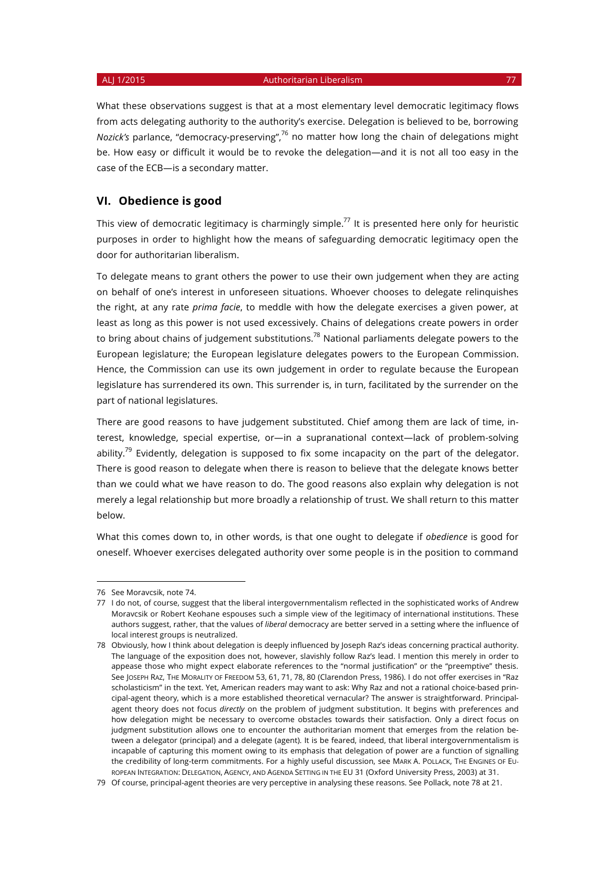What these observations suggest is that at a most elementary level democratic legitimacy flows from acts delegating authority to the authority's exercise. Delegation is believed to be, borrowing *Nozick's* parlance, "democracy-preserving",76 no matter how long the chain of delegations might be. How easy or difficult it would be to revoke the delegation—and it is not all too easy in the case of the ECB—is a secondary matter.

## **VI. Obedience is good**

This view of democratic legitimacy is charmingly simple.<sup>77</sup> It is presented here only for heuristic purposes in order to highlight how the means of safeguarding democratic legitimacy open the door for authoritarian liberalism.

To delegate means to grant others the power to use their own judgement when they are acting on behalf of one's interest in unforeseen situations. Whoever chooses to delegate relinquishes the right, at any rate *prima facie*, to meddle with how the delegate exercises a given power, at least as long as this power is not used excessively. Chains of delegations create powers in order to bring about chains of judgement substitutions.<sup>78</sup> National parliaments delegate powers to the European legislature; the European legislature delegates powers to the European Commission. Hence, the Commission can use its own judgement in order to regulate because the European legislature has surrendered its own. This surrender is, in turn, facilitated by the surrender on the part of national legislatures.

There are good reasons to have judgement substituted. Chief among them are lack of time, interest, knowledge, special expertise, or—in a supranational context—lack of problem-solving ability.<sup>79</sup> Evidently, delegation is supposed to fix some incapacity on the part of the delegator. There is good reason to delegate when there is reason to believe that the delegate knows better than we could what we have reason to do. The good reasons also explain why delegation is not merely a legal relationship but more broadly a relationship of trust. We shall return to this matter below.

What this comes down to, in other words, is that one ought to delegate if *obedience* is good for oneself. Whoever exercises delegated authority over some people is in the position to command

<sup>76</sup> See Moravcsik, note 74.

<sup>77</sup> I do not, of course, suggest that the liberal intergovernmentalism reflected in the sophisticated works of Andrew Moravcsik or Robert Keohane espouses such a simple view of the legitimacy of international institutions. These authors suggest, rather, that the values of *liberal* democracy are better served in a setting where the influence of local interest groups is neutralized.

<sup>78</sup> Obviously, how I think about delegation is deeply influenced by Joseph Raz's ideas concerning practical authority. The language of the exposition does not, however, slavishly follow Raz's lead. I mention this merely in order to appease those who might expect elaborate references to the "normal justification" or the "preemptive" thesis. See JOSEPH RAZ, THE MORALITY OF FREEDOM 53, 61, 71, 78, 80 (Clarendon Press, 1986). I do not offer exercises in "Raz scholasticism" in the text. Yet, American readers may want to ask: Why Raz and not a rational choice-based principal-agent theory, which is a more established theoretical vernacular? The answer is straightforward. Principalagent theory does not focus *directly* on the problem of judgment substitution. It begins with preferences and how delegation might be necessary to overcome obstacles towards their satisfaction. Only a direct focus on judgment substitution allows one to encounter the authoritarian moment that emerges from the relation between a delegator (principal) and a delegate (agent). It is be feared, indeed, that liberal intergovernmentalism is incapable of capturing this moment owing to its emphasis that delegation of power are a function of signalling the credibility of long-term commitments. For a highly useful discussion, see MARK A. POLLACK, THE ENGINES OF EU-ROPEAN INTEGRATION: DELEGATION, AGENCY, AND AGENDA SETTING IN THE EU 31 (Oxford University Press, 2003) at 31.

<sup>79</sup> Of course, principal-agent theories are very perceptive in analysing these reasons. See Pollack, note 78 at 21.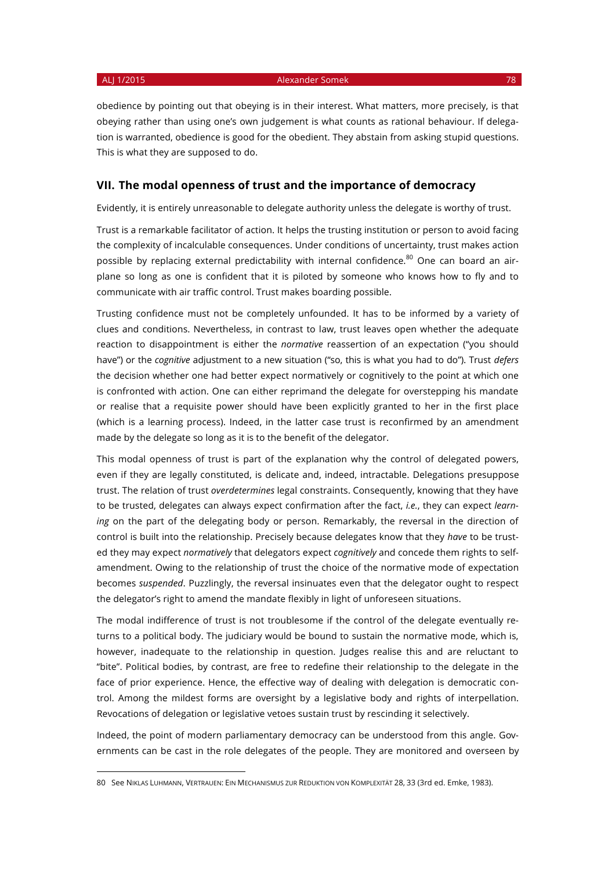### ALJ 1/2015 Alexander Somek 78

obedience by pointing out that obeying is in their interest. What matters, more precisely, is that obeying rather than using one's own judgement is what counts as rational behaviour. If delegation is warranted, obedience is good for the obedient. They abstain from asking stupid questions. This is what they are supposed to do.

## **VII. The modal openness of trust and the importance of democracy**

Evidently, it is entirely unreasonable to delegate authority unless the delegate is worthy of trust.

Trust is a remarkable facilitator of action. It helps the trusting institution or person to avoid facing the complexity of incalculable consequences. Under conditions of uncertainty, trust makes action possible by replacing external predictability with internal confidence.<sup>80</sup> One can board an airplane so long as one is confident that it is piloted by someone who knows how to fly and to communicate with air traffic control. Trust makes boarding possible.

Trusting confidence must not be completely unfounded. It has to be informed by a variety of clues and conditions. Nevertheless, in contrast to law, trust leaves open whether the adequate reaction to disappointment is either the *normative* reassertion of an expectation ("you should have") or the *cognitive* adjustment to a new situation ("so, this is what you had to do"). Trust *defers* the decision whether one had better expect normatively or cognitively to the point at which one is confronted with action. One can either reprimand the delegate for overstepping his mandate or realise that a requisite power should have been explicitly granted to her in the first place (which is a learning process). Indeed, in the latter case trust is reconfirmed by an amendment made by the delegate so long as it is to the benefit of the delegator.

This modal openness of trust is part of the explanation why the control of delegated powers, even if they are legally constituted, is delicate and, indeed, intractable. Delegations presuppose trust. The relation of trust *overdetermines* legal constraints. Consequently, knowing that they have to be trusted, delegates can always expect confirmation after the fact, *i.e.*, they can expect *learning* on the part of the delegating body or person. Remarkably, the reversal in the direction of control is built into the relationship. Precisely because delegates know that they *have* to be trusted they may expect *normatively* that delegators expect *cognitively* and concede them rights to selfamendment. Owing to the relationship of trust the choice of the normative mode of expectation becomes *suspended*. Puzzlingly, the reversal insinuates even that the delegator ought to respect the delegator's right to amend the mandate flexibly in light of unforeseen situations.

The modal indifference of trust is not troublesome if the control of the delegate eventually returns to a political body. The judiciary would be bound to sustain the normative mode, which is, however, inadequate to the relationship in question. Judges realise this and are reluctant to "bite". Political bodies, by contrast, are free to redefine their relationship to the delegate in the face of prior experience. Hence, the effective way of dealing with delegation is democratic control. Among the mildest forms are oversight by a legislative body and rights of interpellation. Revocations of delegation or legislative vetoes sustain trust by rescinding it selectively.

Indeed, the point of modern parliamentary democracy can be understood from this angle. Governments can be cast in the role delegates of the people. They are monitored and overseen by

<sup>80</sup> See NIKLAS LUHMANN, VERTRAUEN: EIN MECHANISMUS ZUR REDUKTION VON KOMPLEXITÄT 28, 33 (3rd ed. Emke, 1983).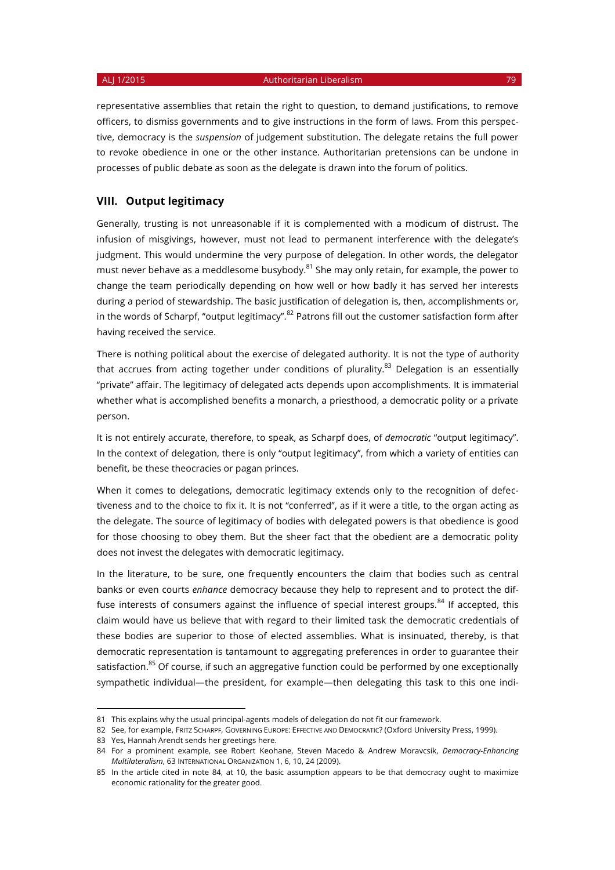representative assemblies that retain the right to question, to demand justifications, to remove officers, to dismiss governments and to give instructions in the form of laws. From this perspective, democracy is the *suspension* of judgement substitution. The delegate retains the full power to revoke obedience in one or the other instance. Authoritarian pretensions can be undone in processes of public debate as soon as the delegate is drawn into the forum of politics.

## **VIII. Output legitimacy**

Generally, trusting is not unreasonable if it is complemented with a modicum of distrust. The infusion of misgivings, however, must not lead to permanent interference with the delegate's judgment. This would undermine the very purpose of delegation. In other words, the delegator must never behave as a meddlesome busybody.<sup>81</sup> She may only retain, for example, the power to change the team periodically depending on how well or how badly it has served her interests during a period of stewardship. The basic justification of delegation is, then, accomplishments or, in the words of Scharpf, "output legitimacy".<sup>82</sup> Patrons fill out the customer satisfaction form after having received the service.

There is nothing political about the exercise of delegated authority. It is not the type of authority that accrues from acting together under conditions of plurality.<sup>83</sup> Delegation is an essentially "private" affair. The legitimacy of delegated acts depends upon accomplishments. It is immaterial whether what is accomplished benefits a monarch, a priesthood, a democratic polity or a private person.

It is not entirely accurate, therefore, to speak, as Scharpf does, of *democratic* "output legitimacy". In the context of delegation, there is only "output legitimacy", from which a variety of entities can benefit, be these theocracies or pagan princes.

When it comes to delegations, democratic legitimacy extends only to the recognition of defectiveness and to the choice to fix it. It is not "conferred", as if it were a title, to the organ acting as the delegate. The source of legitimacy of bodies with delegated powers is that obedience is good for those choosing to obey them. But the sheer fact that the obedient are a democratic polity does not invest the delegates with democratic legitimacy.

In the literature, to be sure, one frequently encounters the claim that bodies such as central banks or even courts *enhance* democracy because they help to represent and to protect the diffuse interests of consumers against the influence of special interest groups.<sup>84</sup> If accepted, this claim would have us believe that with regard to their limited task the democratic credentials of these bodies are superior to those of elected assemblies. What is insinuated, thereby, is that democratic representation is tantamount to aggregating preferences in order to guarantee their satisfaction.<sup>85</sup> Of course, if such an aggregative function could be performed by one exceptionally sympathetic individual—the president, for example—then delegating this task to this one indi-

<sup>81</sup> This explains why the usual principal-agents models of delegation do not fit our framework.

<sup>82</sup> See, for example, FRITZ SCHARPF, GOVERNING EUROPE: EFFECTIVE AND DEMOCRATIC? (Oxford University Press, 1999).

<sup>83</sup> Yes, Hannah Arendt sends her greetings here.

<sup>84</sup> For a prominent example, see Robert Keohane, Steven Macedo & Andrew Moravcsik, *Democracy-Enhancing Multilateralism*, 63 INTERNATIONAL ORGANIZATION 1, 6, 10, 24 (2009).

<sup>85</sup> In the article cited in note 84, at 10, the basic assumption appears to be that democracy ought to maximize economic rationality for the greater good.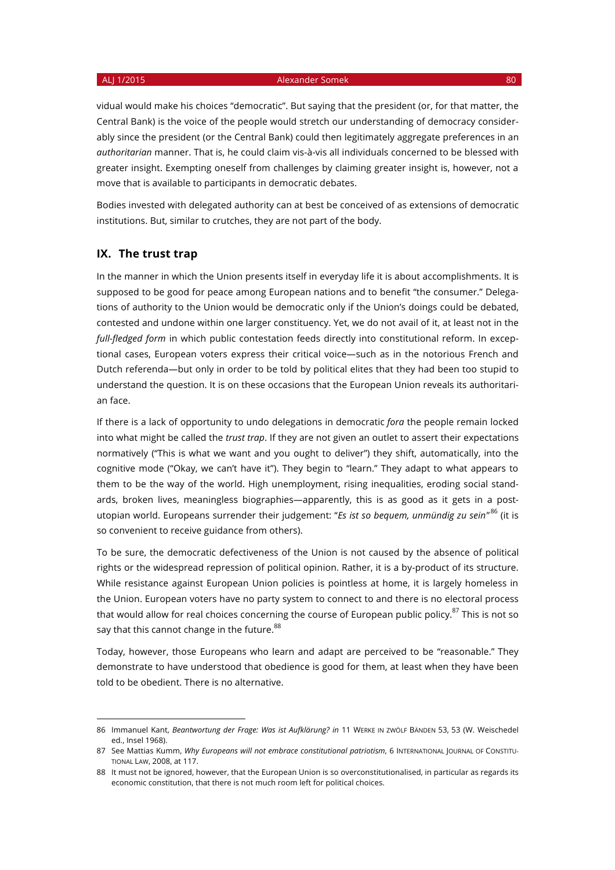vidual would make his choices "democratic". But saying that the president (or, for that matter, the Central Bank) is the voice of the people would stretch our understanding of democracy considerably since the president (or the Central Bank) could then legitimately aggregate preferences in an *authoritarian* manner. That is, he could claim vis-à-vis all individuals concerned to be blessed with greater insight. Exempting oneself from challenges by claiming greater insight is, however, not a move that is available to participants in democratic debates.

Bodies invested with delegated authority can at best be conceived of as extensions of democratic institutions. But, similar to crutches, they are not part of the body.

## **IX. The trust trap**

 $\overline{a}$ 

In the manner in which the Union presents itself in everyday life it is about accomplishments. It is supposed to be good for peace among European nations and to benefit "the consumer." Delegations of authority to the Union would be democratic only if the Union's doings could be debated, contested and undone within one larger constituency. Yet, we do not avail of it, at least not in the *full-fledged form* in which public contestation feeds directly into constitutional reform. In exceptional cases, European voters express their critical voice—such as in the notorious French and Dutch referenda—but only in order to be told by political elites that they had been too stupid to understand the question. It is on these occasions that the European Union reveals its authoritarian face.

If there is a lack of opportunity to undo delegations in democratic *fora* the people remain locked into what might be called the *trust trap*. If they are not given an outlet to assert their expectations normatively ("This is what we want and you ought to deliver") they shift, automatically, into the cognitive mode ("Okay, we can't have it"). They begin to "learn." They adapt to what appears to them to be the way of the world. High unemployment, rising inequalities, eroding social standards, broken lives, meaningless biographies—apparently, this is as good as it gets in a postutopian world. Europeans surrender their judgement: "*Es ist so bequem, unmündig zu sein*" <sup>86</sup> (it is so convenient to receive guidance from others).

To be sure, the democratic defectiveness of the Union is not caused by the absence of political rights or the widespread repression of political opinion. Rather, it is a by-product of its structure. While resistance against European Union policies is pointless at home, it is largely homeless in the Union. European voters have no party system to connect to and there is no electoral process that would allow for real choices concerning the course of European public policy.<sup>87</sup> This is not so say that this cannot change in the future.<sup>88</sup>

Today, however, those Europeans who learn and adapt are perceived to be "reasonable." They demonstrate to have understood that obedience is good for them, at least when they have been told to be obedient. There is no alternative.

<sup>86</sup> Immanuel Kant, *Beantwortung der Frage: Was ist Aufklärung? in* 11 WERKE IN ZWÖLF BÄNDEN 53, 53 (W. Weischedel ed., Insel 1968).

<sup>87</sup> See Mattias Kumm, Why Europeans will not embrace constitutional patriotism, 6 INTERNATIONAL JOURNAL OF CONSTITU-TIONAL LAW, 2008, at 117.

<sup>88</sup> It must not be ignored, however, that the European Union is so overconstitutionalised, in particular as regards its economic constitution, that there is not much room left for political choices.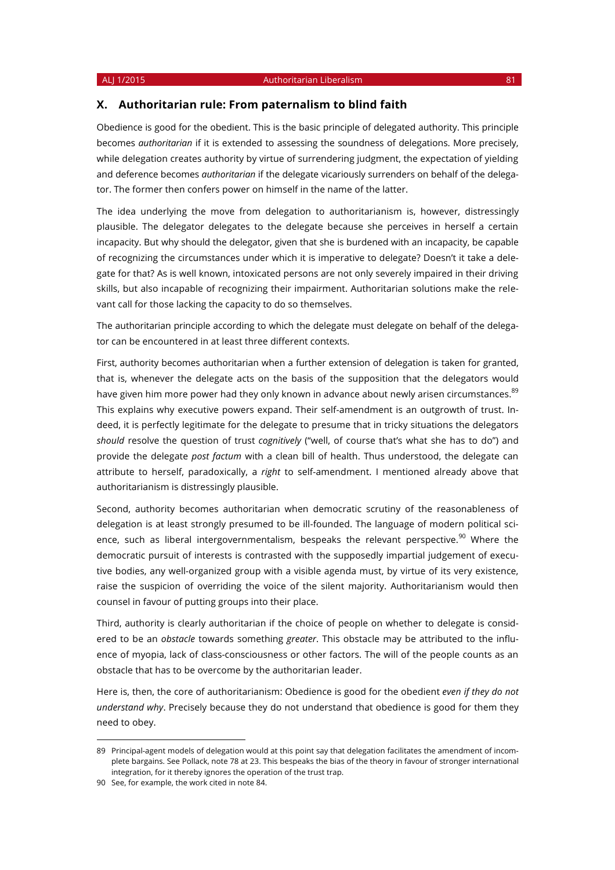### **X. Authoritarian rule: From paternalism to blind faith**

Obedience is good for the obedient. This is the basic principle of delegated authority. This principle becomes *authoritarian* if it is extended to assessing the soundness of delegations. More precisely, while delegation creates authority by virtue of surrendering judgment, the expectation of yielding and deference becomes *authoritarian* if the delegate vicariously surrenders on behalf of the delegator. The former then confers power on himself in the name of the latter.

The idea underlying the move from delegation to authoritarianism is, however, distressingly plausible. The delegator delegates to the delegate because she perceives in herself a certain incapacity. But why should the delegator, given that she is burdened with an incapacity, be capable of recognizing the circumstances under which it is imperative to delegate? Doesn't it take a delegate for that? As is well known, intoxicated persons are not only severely impaired in their driving skills, but also incapable of recognizing their impairment. Authoritarian solutions make the relevant call for those lacking the capacity to do so themselves.

The authoritarian principle according to which the delegate must delegate on behalf of the delegator can be encountered in at least three different contexts.

First, authority becomes authoritarian when a further extension of delegation is taken for granted, that is, whenever the delegate acts on the basis of the supposition that the delegators would have given him more power had they only known in advance about newly arisen circumstances.<sup>89</sup> This explains why executive powers expand. Their self-amendment is an outgrowth of trust. Indeed, it is perfectly legitimate for the delegate to presume that in tricky situations the delegators *should* resolve the question of trust *cognitively* ("well, of course that's what she has to do") and provide the delegate *post factum* with a clean bill of health. Thus understood, the delegate can attribute to herself, paradoxically, a *right* to self-amendment. I mentioned already above that authoritarianism is distressingly plausible.

Second, authority becomes authoritarian when democratic scrutiny of the reasonableness of delegation is at least strongly presumed to be ill-founded. The language of modern political science, such as liberal intergovernmentalism, bespeaks the relevant perspective.<sup>90</sup> Where the democratic pursuit of interests is contrasted with the supposedly impartial judgement of executive bodies, any well-organized group with a visible agenda must, by virtue of its very existence, raise the suspicion of overriding the voice of the silent majority. Authoritarianism would then counsel in favour of putting groups into their place.

Third, authority is clearly authoritarian if the choice of people on whether to delegate is considered to be an *obstacle* towards something *greater*. This obstacle may be attributed to the influence of myopia, lack of class-consciousness or other factors. The will of the people counts as an obstacle that has to be overcome by the authoritarian leader.

Here is, then, the core of authoritarianism: Obedience is good for the obedient *even if they do not understand why*. Precisely because they do not understand that obedience is good for them they need to obey.

<sup>89</sup> Principal-agent models of delegation would at this point say that delegation facilitates the amendment of incomplete bargains. See Pollack, note 78 at 23. This bespeaks the bias of the theory in favour of stronger international integration, for it thereby ignores the operation of the trust trap.

<sup>90</sup> See, for example, the work cited in note 84.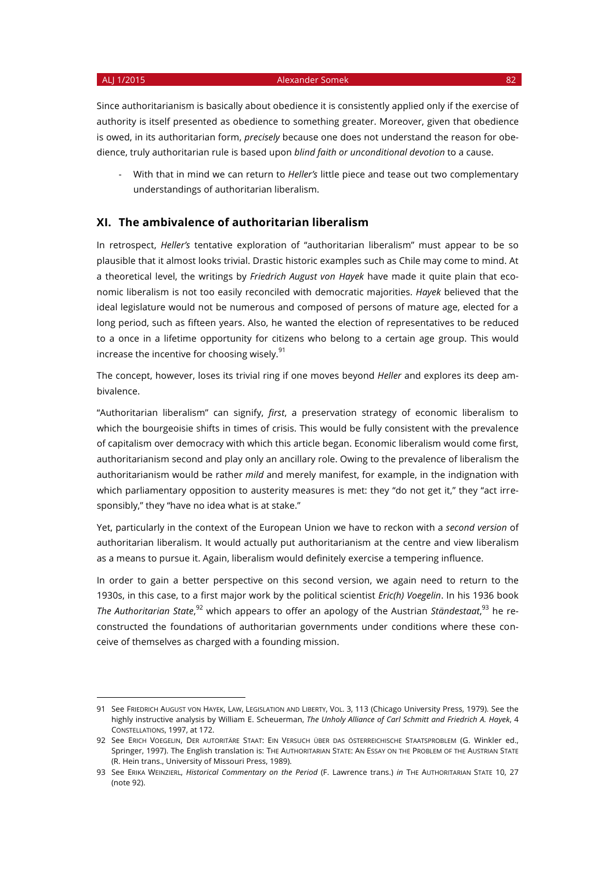### ALJ 1/2015 **Alexander Somek 82**

Since authoritarianism is basically about obedience it is consistently applied only if the exercise of authority is itself presented as obedience to something greater. Moreover, given that obedience is owed, in its authoritarian form, *precisely* because one does not understand the reason for obedience, truly authoritarian rule is based upon *blind faith or unconditional devotion* to a cause.

- With that in mind we can return to *Heller's* little piece and tease out two complementary understandings of authoritarian liberalism.

## **XI. The ambivalence of authoritarian liberalism**

In retrospect, *Heller's* tentative exploration of "authoritarian liberalism" must appear to be so plausible that it almost looks trivial. Drastic historic examples such as Chile may come to mind. At a theoretical level, the writings by *Friedrich August von Hayek* have made it quite plain that economic liberalism is not too easily reconciled with democratic majorities. *Hayek* believed that the ideal legislature would not be numerous and composed of persons of mature age, elected for a long period, such as fifteen years. Also, he wanted the election of representatives to be reduced to a once in a lifetime opportunity for citizens who belong to a certain age group. This would increase the incentive for choosing wisely. $91$ 

The concept, however, loses its trivial ring if one moves beyond *Heller* and explores its deep ambivalence.

"Authoritarian liberalism" can signify, *first*, a preservation strategy of economic liberalism to which the bourgeoisie shifts in times of crisis. This would be fully consistent with the prevalence of capitalism over democracy with which this article began. Economic liberalism would come first, authoritarianism second and play only an ancillary role. Owing to the prevalence of liberalism the authoritarianism would be rather *mild* and merely manifest, for example, in the indignation with which parliamentary opposition to austerity measures is met: they "do not get it," they "act irresponsibly," they "have no idea what is at stake."

Yet, particularly in the context of the European Union we have to reckon with a *second version* of authoritarian liberalism. It would actually put authoritarianism at the centre and view liberalism as a means to pursue it. Again, liberalism would definitely exercise a tempering influence.

In order to gain a better perspective on this second version, we again need to return to the 1930s, in this case, to a first major work by the political scientist *Eric(h) Voegelin*. In his 1936 book *The Authoritarian State*, <sup>92</sup> which appears to offer an apology of the Austrian *Ständestaat*, <sup>93</sup> he reconstructed the foundations of authoritarian governments under conditions where these conceive of themselves as charged with a founding mission.

<sup>91</sup> See FRIEDRICH AUGUST VON HAYEK, LAW, LEGISLATION AND LIBERTY, VOL. 3, 113 (Chicago University Press, 1979). See the highly instructive analysis by William E. Scheuerman, *The Unholy Alliance of Carl Schmitt and Friedrich A. Hayek*, 4 CONSTELLATIONS, 1997, at 172.

<sup>92</sup> See ERICH VOEGELIN, DER AUTORITÄRE STAAT: EIN VERSUCH ÜBER DAS ÖSTERREICHISCHE STAATSPROBLEM (G. Winkler ed., Springer, 1997). The English translation is: THE AUTHORITARIAN STATE: AN ESSAY ON THE PROBLEM OF THE AUSTRIAN STATE (R. Hein trans., University of Missouri Press, 1989).

<sup>93</sup> See ERIKA WEINZIERL, *Historical Commentary on the Period* (F. Lawrence trans.) *in* THE AUTHORITARIAN STATE 10, 27 (note 92).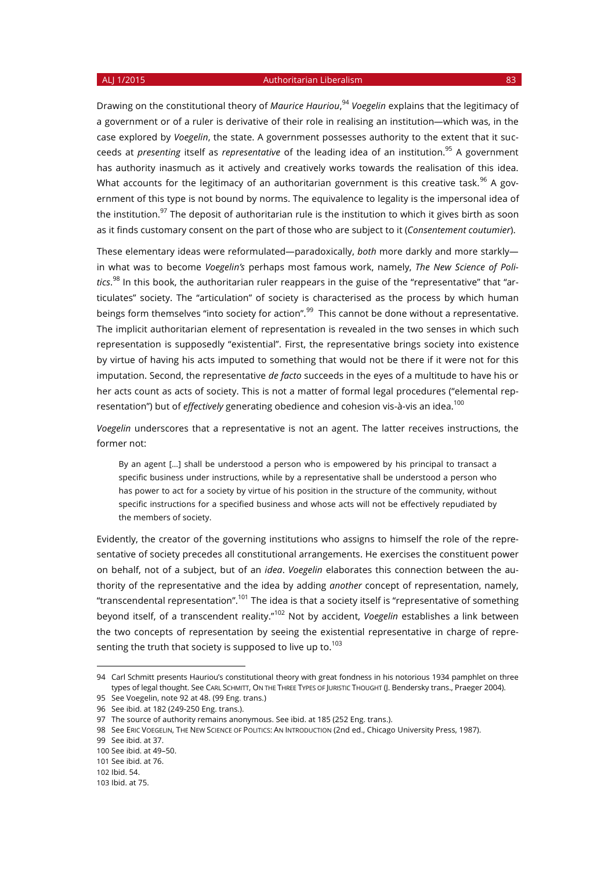Drawing on the constitutional theory of *Maurice Hauriou*, <sup>94</sup> *Voegelin* explains that the legitimacy of a government or of a ruler is derivative of their role in realising an institution—which was, in the case explored by *Voegelin*, the state. A government possesses authority to the extent that it succeeds at *presenting* itself as *representative* of the leading idea of an institution.<sup>95</sup> A government has authority inasmuch as it actively and creatively works towards the realisation of this idea. What accounts for the legitimacy of an authoritarian government is this creative task.<sup>96</sup> A government of this type is not bound by norms. The equivalence to legality is the impersonal idea of the institution.<sup>97</sup> The deposit of authoritarian rule is the institution to which it gives birth as soon as it finds customary consent on the part of those who are subject to it (*Consentement coutumier*).

These elementary ideas were reformulated—paradoxically, *both* more darkly and more starkly in what was to become *Voegelin's* perhaps most famous work, namely, *The New Science of Politics*. <sup>98</sup> In this book, the authoritarian ruler reappears in the guise of the "representative" that "articulates" society. The "articulation" of society is characterised as the process by which human beings form themselves "into society for action".<sup>99</sup> This cannot be done without a representative. The implicit authoritarian element of representation is revealed in the two senses in which such representation is supposedly "existential". First, the representative brings society into existence by virtue of having his acts imputed to something that would not be there if it were not for this imputation. Second, the representative *de facto* succeeds in the eyes of a multitude to have his or her acts count as acts of society. This is not a matter of formal legal procedures ("elemental representation") but of *effectively* generating obedience and cohesion vis-à-vis an idea.<sup>100</sup>

*Voegelin* underscores that a representative is not an agent. The latter receives instructions, the former not:

By an agent […] shall be understood a person who is empowered by his principal to transact a specific business under instructions, while by a representative shall be understood a person who has power to act for a society by virtue of his position in the structure of the community, without specific instructions for a specified business and whose acts will not be effectively repudiated by the members of society.

Evidently, the creator of the governing institutions who assigns to himself the role of the representative of society precedes all constitutional arrangements. He exercises the constituent power on behalf, not of a subject, but of an *idea*. *Voegelin* elaborates this connection between the authority of the representative and the idea by adding *another* concept of representation, namely, "transcendental representation".101 The idea is that a society itself is "representative of something beyond itself, of a transcendent reality."<sup>102</sup> Not by accident, *Voegelin* establishes a link between the two concepts of representation by seeing the existential representative in charge of representing the truth that society is supposed to live up to. $103$ 

<sup>94</sup> Carl Schmitt presents Hauriou's constitutional theory with great fondness in his notorious 1934 pamphlet on three types of legal thought. See CARL SCHMITT, ON THE THREE TYPES OF JURISTIC THOUGHT (J. Bendersky trans., Praeger 2004).

<sup>95</sup> See Voegelin, note 92 at 48. (99 Eng. trans.) 96 See ibid. at 182 (249-250 Eng. trans.).

<sup>97</sup> The source of authority remains anonymous. See ibid. at 185 (252 Eng. trans.).

<sup>98</sup> See ERIC VOEGELIN, THE NEW SCIENCE OF POLITICS: AN INTRODUCTION (2nd ed., Chicago University Press, 1987).

<sup>99</sup> See ibid. at 37.

<sup>100</sup> See ibid. at 49–50.

<sup>101</sup> See ibid. at 76.

<sup>102</sup> Ibid. 54.

<sup>103</sup> Ibid. at 75.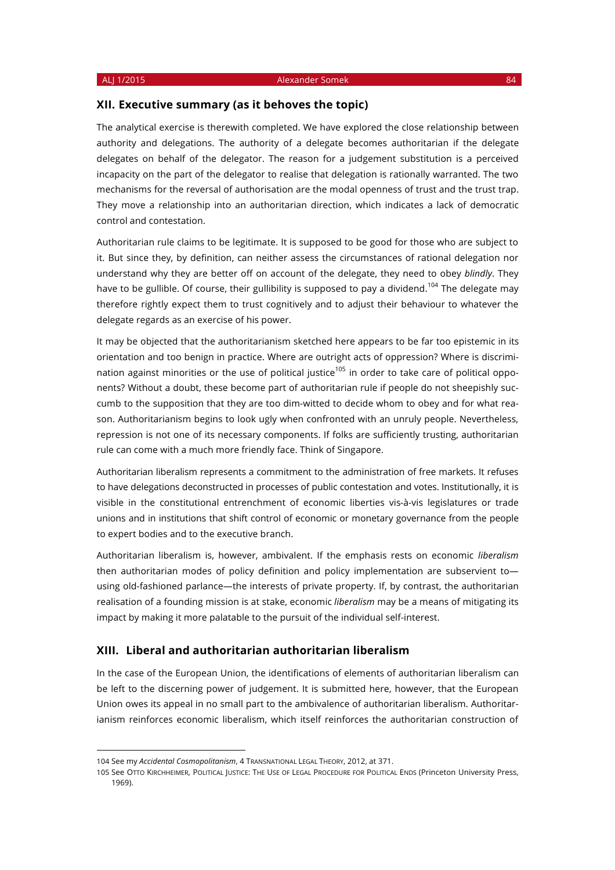## **XII. Executive summary (as it behoves the topic)**

The analytical exercise is therewith completed. We have explored the close relationship between authority and delegations. The authority of a delegate becomes authoritarian if the delegate delegates on behalf of the delegator. The reason for a judgement substitution is a perceived incapacity on the part of the delegator to realise that delegation is rationally warranted. The two mechanisms for the reversal of authorisation are the modal openness of trust and the trust trap. They move a relationship into an authoritarian direction, which indicates a lack of democratic control and contestation.

Authoritarian rule claims to be legitimate. It is supposed to be good for those who are subject to it. But since they, by definition, can neither assess the circumstances of rational delegation nor understand why they are better off on account of the delegate, they need to obey *blindly*. They have to be gullible. Of course, their gullibility is supposed to pay a dividend.<sup>104</sup> The delegate may therefore rightly expect them to trust cognitively and to adjust their behaviour to whatever the delegate regards as an exercise of his power.

It may be objected that the authoritarianism sketched here appears to be far too epistemic in its orientation and too benign in practice. Where are outright acts of oppression? Where is discrimination against minorities or the use of political justice<sup>105</sup> in order to take care of political opponents? Without a doubt, these become part of authoritarian rule if people do not sheepishly succumb to the supposition that they are too dim-witted to decide whom to obey and for what reason. Authoritarianism begins to look ugly when confronted with an unruly people. Nevertheless, repression is not one of its necessary components. If folks are sufficiently trusting, authoritarian rule can come with a much more friendly face. Think of Singapore.

Authoritarian liberalism represents a commitment to the administration of free markets. It refuses to have delegations deconstructed in processes of public contestation and votes. Institutionally, it is visible in the constitutional entrenchment of economic liberties vis-à-vis legislatures or trade unions and in institutions that shift control of economic or monetary governance from the people to expert bodies and to the executive branch.

Authoritarian liberalism is, however, ambivalent. If the emphasis rests on economic *liberalism* then authoritarian modes of policy definition and policy implementation are subservient to using old-fashioned parlance—the interests of private property. If, by contrast, the authoritarian realisation of a founding mission is at stake, economic *liberalism* may be a means of mitigating its impact by making it more palatable to the pursuit of the individual self-interest.

## **XIII. Liberal and authoritarian authoritarian liberalism**

In the case of the European Union, the identifications of elements of authoritarian liberalism can be left to the discerning power of judgement. It is submitted here, however, that the European Union owes its appeal in no small part to the ambivalence of authoritarian liberalism. Authoritarianism reinforces economic liberalism, which itself reinforces the authoritarian construction of

<sup>104</sup> See my *Accidental Cosmopolitanism*, 4 TRANSNATIONAL LEGAL THEORY, 2012, at 371.

<sup>105</sup> See OTTO KIRCHHEIMER, POLITICAL JUSTICE: THE USE OF LEGAL PROCEDURE FOR POLITICAL ENDS (Princeton University Press, 1969).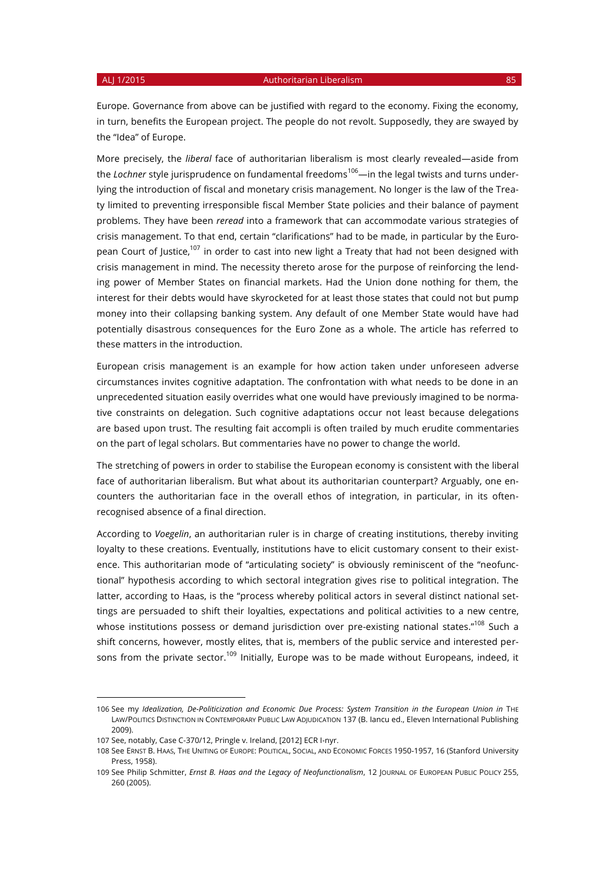### ALJ 1/2015 **Authoritarian Liberalism Authoritarian Liberalism 85**

Europe. Governance from above can be justified with regard to the economy. Fixing the economy, in turn, benefits the European project. The people do not revolt. Supposedly, they are swayed by the "Idea" of Europe.

More precisely, the *liberal* face of authoritarian liberalism is most clearly revealed—aside from the *Lochner* style jurisprudence on fundamental freedoms<sup>106</sup>—in the legal twists and turns underlying the introduction of fiscal and monetary crisis management. No longer is the law of the Treaty limited to preventing irresponsible fiscal Member State policies and their balance of payment problems. They have been *reread* into a framework that can accommodate various strategies of crisis management. To that end, certain "clarifications" had to be made, in particular by the European Court of Justice,<sup>107</sup> in order to cast into new light a Treaty that had not been designed with crisis management in mind. The necessity thereto arose for the purpose of reinforcing the lending power of Member States on financial markets. Had the Union done nothing for them, the interest for their debts would have skyrocketed for at least those states that could not but pump money into their collapsing banking system. Any default of one Member State would have had potentially disastrous consequences for the Euro Zone as a whole. The article has referred to these matters in the introduction.

European crisis management is an example for how action taken under unforeseen adverse circumstances invites cognitive adaptation. The confrontation with what needs to be done in an unprecedented situation easily overrides what one would have previously imagined to be normative constraints on delegation. Such cognitive adaptations occur not least because delegations are based upon trust. The resulting fait accompli is often trailed by much erudite commentaries on the part of legal scholars. But commentaries have no power to change the world.

The stretching of powers in order to stabilise the European economy is consistent with the liberal face of authoritarian liberalism. But what about its authoritarian counterpart? Arguably, one encounters the authoritarian face in the overall ethos of integration, in particular, in its oftenrecognised absence of a final direction.

According to *Voegelin*, an authoritarian ruler is in charge of creating institutions, thereby inviting loyalty to these creations. Eventually, institutions have to elicit customary consent to their existence. This authoritarian mode of "articulating society" is obviously reminiscent of the "neofunctional" hypothesis according to which sectoral integration gives rise to political integration. The latter, according to Haas, is the "process whereby political actors in several distinct national settings are persuaded to shift their loyalties, expectations and political activities to a new centre, whose institutions possess or demand jurisdiction over pre-existing national states."<sup>108</sup> Such a shift concerns, however, mostly elites, that is, members of the public service and interested persons from the private sector.<sup>109</sup> Initially, Europe was to be made without Europeans, indeed, it

<sup>106</sup> See my *Idealization, De-Politicization and Economic Due Process: System Transition in the European Union in* THE LAW/POLITICS DISTINCTION IN CONTEMPORARY PUBLIC LAW ADJUDICATION 137 (B. Iancu ed., Eleven International Publishing 2009).

<sup>107</sup> See, notably, Case C-370/12, Pringle v. Ireland, [2012] ECR I-nyr.

<sup>108</sup> See ERNST B. HAAS, THE UNITING OF EUROPE: POLITICAL, SOCIAL, AND ECONOMIC FORCES 1950-1957, 16 (Stanford University Press, 1958).

<sup>109</sup> See Philip Schmitter, *Ernst B. Haas and the Legacy of Neofunctionalism*, 12 JOURNAL OF EUROPEAN PUBLIC POLICY 255, 260 (2005).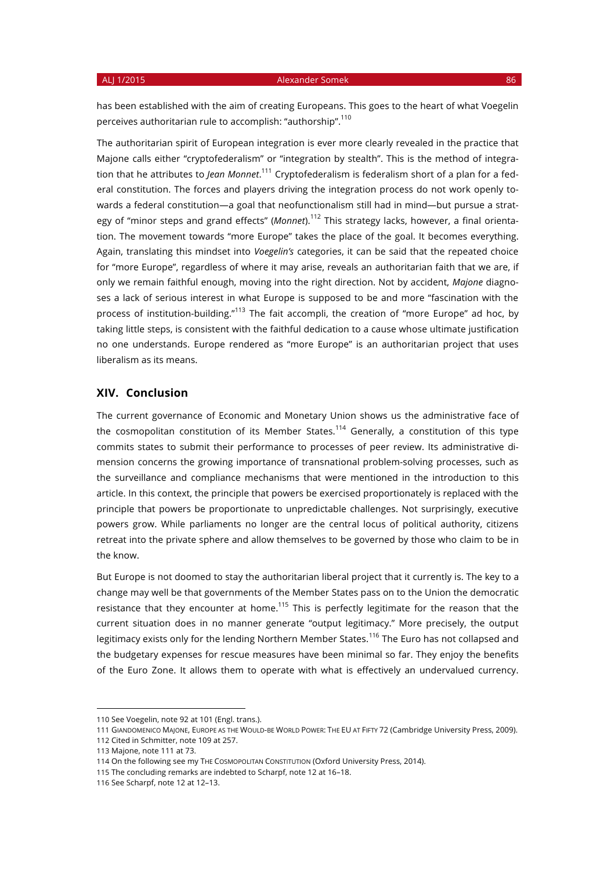has been established with the aim of creating Europeans. This goes to the heart of what Voegelin perceives authoritarian rule to accomplish: "authorship".<sup>110</sup>

The authoritarian spirit of European integration is ever more clearly revealed in the practice that Majone calls either "cryptofederalism" or "integration by stealth". This is the method of integration that he attributes to *Jean Monnet*. <sup>111</sup> Cryptofederalism is federalism short of a plan for a federal constitution. The forces and players driving the integration process do not work openly towards a federal constitution—a goal that neofunctionalism still had in mind—but pursue a strategy of "minor steps and grand effects" (Monnet).<sup>112</sup> This strategy lacks, however, a final orientation. The movement towards "more Europe" takes the place of the goal. It becomes everything. Again, translating this mindset into *Voegelin's* categories, it can be said that the repeated choice for "more Europe", regardless of where it may arise, reveals an authoritarian faith that we are, if only we remain faithful enough, moving into the right direction. Not by accident, *Majone* diagnoses a lack of serious interest in what Europe is supposed to be and more "fascination with the process of institution-building."<sup>113</sup> The fait accompli, the creation of "more Europe" ad hoc, by taking little steps, is consistent with the faithful dedication to a cause whose ultimate justification no one understands. Europe rendered as "more Europe" is an authoritarian project that uses liberalism as its means.

## **XIV. Conclusion**

The current governance of Economic and Monetary Union shows us the administrative face of the cosmopolitan constitution of its Member States.<sup>114</sup> Generally, a constitution of this type commits states to submit their performance to processes of peer review. Its administrative dimension concerns the growing importance of transnational problem-solving processes, such as the surveillance and compliance mechanisms that were mentioned in the introduction to this article. In this context, the principle that powers be exercised proportionately is replaced with the principle that powers be proportionate to unpredictable challenges. Not surprisingly, executive powers grow. While parliaments no longer are the central locus of political authority, citizens retreat into the private sphere and allow themselves to be governed by those who claim to be in the know.

But Europe is not doomed to stay the authoritarian liberal project that it currently is. The key to a change may well be that governments of the Member States pass on to the Union the democratic resistance that they encounter at home.<sup>115</sup> This is perfectly legitimate for the reason that the current situation does in no manner generate "output legitimacy." More precisely, the output legitimacy exists only for the lending Northern Member States.<sup>116</sup> The Euro has not collapsed and the budgetary expenses for rescue measures have been minimal so far. They enjoy the benefits of the Euro Zone. It allows them to operate with what is effectively an undervalued currency.

<sup>110</sup> See Voegelin, note 92 at 101 (Engl. trans.).

<sup>111</sup> GIANDOMENICO MAJONE, EUROPE AS THE WOULD-BE WORLD POWER: THE EU AT FIFTY 72 (Cambridge University Press, 2009).

<sup>112</sup> Cited in Schmitter, note 109 at 257.

<sup>113</sup> Majone, note 111 at 73.

<sup>114</sup> On the following see my THE COSMOPOLITAN CONSTITUTION (Oxford University Press, 2014).

<sup>115</sup> The concluding remarks are indebted to Scharpf, note 12 at 16–18.

<sup>116</sup> See Scharpf, note 12 at 12–13.